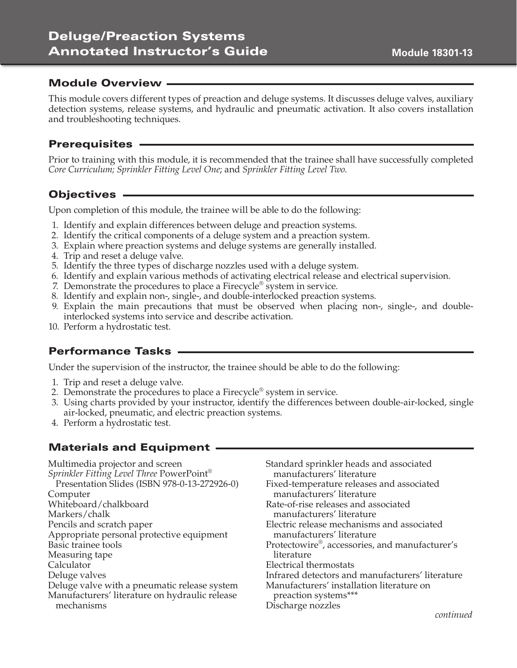# Deluge/Preaction Systems Annotated Instructor's Guide

### Module Overview

This module covers different types of preaction and deluge systems. It discusses deluge valves, auxiliary detection systems, release systems, and hydraulic and pneumatic activation. It also covers installation and troubleshooting techniques.

### Prerequisites

Prior to training with this module, it is recommended that the trainee shall have successfully completed *Core Curriculum; Sprinkler Fitting Level One*; and *Sprinkler Fitting Level Two*.

### Objectives

Upon completion of this module, the trainee will be able to do the following:

- 1. Identify and explain differences between deluge and preaction systems.
- 2. Identify the critical components of a deluge system and a preaction system.
- 3. Explain where preaction systems and deluge systems are generally installed.
- 4. Trip and reset a deluge valve.
- 5. Identify the three types of discharge nozzles used with a deluge system.
- 6. Identify and explain various methods of activating electrical release and electrical supervision.
- 7. Demonstrate the procedures to place a Firecycle® system in service.
- 8. Identify and explain non-, single-, and double-interlocked preaction systems.
- 9. Explain the main precautions that must be observed when placing non-, single-, and doubleinterlocked systems into service and describe activation.
- 10. Perform a hydrostatic test.

## Performance Tasks

Under the supervision of the instructor, the trainee should be able to do the following:

- 1. Trip and reset a deluge valve.
- 2. Demonstrate the procedures to place a Firecycle<sup>®</sup> system in service.
- 3. Using charts provided by your instructor, identify the differences between double-air-locked, single air-locked, pneumatic, and electric preaction systems.
- 4. Perform a hydrostatic test.

## Materials and Equipment .

Multimedia projector and screen *Sprinkler Fitting Level Three* PowerPoint® Presentation Slides (ISBN 978-0-13-272926-0) Computer Whiteboard/chalkboard Markers/chalk Pencils and scratch paper Appropriate personal protective equipment Basic trainee tools Measuring tape Calculator Deluge valves Deluge valve with a pneumatic release system Manufacturers' literature on hydraulic release mechanisms

Standard sprinkler heads and associated manufacturers' literature Fixed-temperature releases and associated manufacturers' literature Rate-of-rise releases and associated manufacturers' literature Electric release mechanisms and associated manufacturers' literature Protectowire®, accessories, and manufacturer's literature Electrical thermostats Infrared detectors and manufacturers' literature Manufacturers' installation literature on preaction systems\*\*\* Discharge nozzles *continued*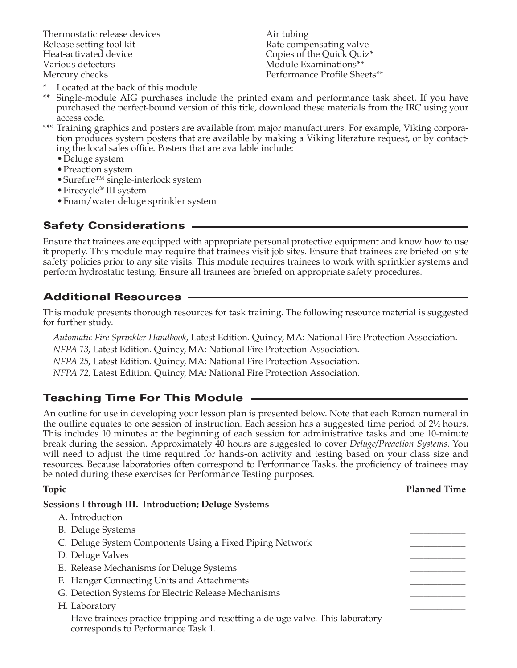Thermostatic release devices Release setting tool kit Heat-activated device Various detectors Mercury checks

Air tubing Rate compensating valve Copies of the Quick Quiz\* Module Examinations\*\* Performance Profile Sheets\*\*

- \* Located at the back of this module
- \*\* Single-module AIG purchases include the printed exam and performance task sheet. If you have purchased the perfect-bound version of this title, download these materials from the IRC using your access code.
- \*\*\* Training graphics and posters are available from major manufacturers. For example, Viking corporation produces system posters that are available by making a Viking literature request, or by contacting the local sales office. Posters that are available include:
	- •Deluge system
	- •Preaction system
	- •Surefire™ single-interlock system
	- •Firecycle® III system
	- •Foam/water deluge sprinkler system

## Safety Considerations

Ensure that trainees are equipped with appropriate personal protective equipment and know how to use it properly. This module may require that trainees visit job sites. Ensure that trainees are briefed on site safety policies prior to any site visits. This module requires trainees to work with sprinkler systems and perform hydrostatic testing. Ensure all trainees are briefed on appropriate safety procedures.

## Additional Resources

This module presents thorough resources for task training. The following resource material is suggested for further study.

*Automatic Fire Sprinkler Handbook*, Latest Edition. Quincy, MA: National Fire Protection Association.

*NFPA 13*, Latest Edition. Quincy, MA: National Fire Protection Association.

*NFPA 25*, Latest Edition. Quincy, MA: National Fire Protection Association.

*NFPA 72,* Latest Edition. Quincy, MA: National Fire Protection Association.

## Teaching Time For This Module

An outline for use in developing your lesson plan is presented below. Note that each Roman numeral in the outline equates to one session of instruction. Each session has a suggested time period of  $2\frac{1}{2}$  hours. This includes 10 minutes at the beginning of each session for administrative tasks and one 10-minute break during the session. Approximately 40 hours are suggested to cover *Deluge/Preaction Systems*. You will need to adjust the time required for hands-on activity and testing based on your class size and resources. Because laboratories often correspond to Performance Tasks, the proficiency of trainees may be noted during these exercises for Performance Testing purposes.

| Topic                                                                                                               | <b>Planned Time</b> |
|---------------------------------------------------------------------------------------------------------------------|---------------------|
| <b>Sessions I through III. Introduction; Deluge Systems</b>                                                         |                     |
| A. Introduction                                                                                                     |                     |
| <b>B.</b> Deluge Systems                                                                                            |                     |
| C. Deluge System Components Using a Fixed Piping Network                                                            |                     |
| D. Deluge Valves                                                                                                    |                     |
| E. Release Mechanisms for Deluge Systems                                                                            |                     |
| F. Hanger Connecting Units and Attachments                                                                          |                     |
| G. Detection Systems for Electric Release Mechanisms                                                                |                     |
| H. Laboratory                                                                                                       |                     |
| Have trainees practice tripping and resetting a deluge valve. This laboratory<br>corresponds to Performance Task 1. |                     |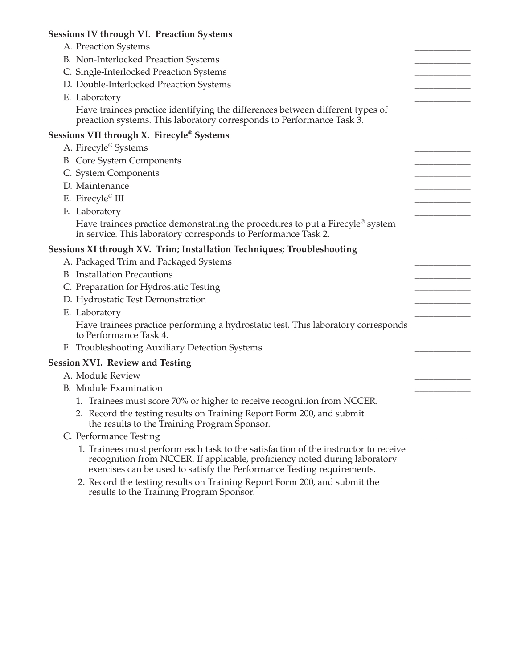| <b>Sessions IV through VI. Preaction Systems</b>                                                                                                                                                                                            |  |
|---------------------------------------------------------------------------------------------------------------------------------------------------------------------------------------------------------------------------------------------|--|
| A. Preaction Systems                                                                                                                                                                                                                        |  |
| B. Non-Interlocked Preaction Systems                                                                                                                                                                                                        |  |
| C. Single-Interlocked Preaction Systems                                                                                                                                                                                                     |  |
| D. Double-Interlocked Preaction Systems                                                                                                                                                                                                     |  |
| E. Laboratory                                                                                                                                                                                                                               |  |
| Have trainees practice identifying the differences between different types of<br>preaction systems. This laboratory corresponds to Performance Task 3.                                                                                      |  |
| Sessions VII through X. Firecyle® Systems                                                                                                                                                                                                   |  |
| A. Firecyle® Systems                                                                                                                                                                                                                        |  |
| <b>B.</b> Core System Components                                                                                                                                                                                                            |  |
| C. System Components                                                                                                                                                                                                                        |  |
| D. Maintenance                                                                                                                                                                                                                              |  |
| E. Firecyle® III                                                                                                                                                                                                                            |  |
| F. Laboratory                                                                                                                                                                                                                               |  |
| Have trainees practice demonstrating the procedures to put a Firecyle® system<br>in service. This laboratory corresponds to Performance Task 2.                                                                                             |  |
| Sessions XI through XV. Trim; Installation Techniques; Troubleshooting                                                                                                                                                                      |  |
| A. Packaged Trim and Packaged Systems                                                                                                                                                                                                       |  |
| <b>B.</b> Installation Precautions                                                                                                                                                                                                          |  |
| C. Preparation for Hydrostatic Testing                                                                                                                                                                                                      |  |
| D. Hydrostatic Test Demonstration                                                                                                                                                                                                           |  |
| E. Laboratory                                                                                                                                                                                                                               |  |
| Have trainees practice performing a hydrostatic test. This laboratory corresponds<br>to Performance Task 4.                                                                                                                                 |  |
| F. Troubleshooting Auxiliary Detection Systems                                                                                                                                                                                              |  |
| <b>Session XVI. Review and Testing</b>                                                                                                                                                                                                      |  |
| A. Module Review                                                                                                                                                                                                                            |  |
| <b>B.</b> Module Examination                                                                                                                                                                                                                |  |
| 1. Trainees must score 70% or higher to receive recognition from NCCER.                                                                                                                                                                     |  |
| 2. Record the testing results on Training Report Form 200, and submit<br>the results to the Training Program Sponsor.                                                                                                                       |  |
| C. Performance Testing                                                                                                                                                                                                                      |  |
| 1. Trainees must perform each task to the satisfaction of the instructor to receive<br>recognition from NCCER. If applicable, proficiency noted during laboratory<br>exercises can be used to satisfy the Performance Testing requirements. |  |
| 2. Record the testing results on Training Report Form 200, and submit the<br>results to the Training Program Sponsor.                                                                                                                       |  |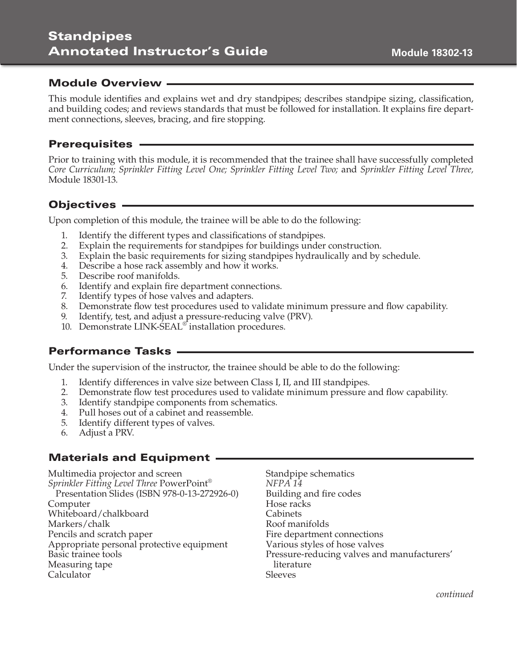# **Standpipes** Annotated Instructor's Guide

### Module Overview ·

This module identifies and explains wet and dry standpipes; describes standpipe sizing, classification, and building codes; and reviews standards that must be followed for installation. It explains fire department connections, sleeves, bracing, and fire stopping.

#### Prerequisites

Prior to training with this module, it is recommended that the trainee shall have successfully completed *Core Curriculum; Sprinkler Fitting Level One; Sprinkler Fitting Level Two;* and *Sprinkler Fitting Level Three,*  Module 18301-13.

### Objectives

Upon completion of this module, the trainee will be able to do the following:

- 1. Identify the different types and classifications of standpipes.
- 2. Explain the requirements for standpipes for buildings under construction.
- 3. Explain the basic requirements for sizing standpipes hydraulically and by schedule.
- 4. Describe a hose rack assembly and how it works.
- 5. Describe roof manifolds.
- 6. Identify and explain fire department connections.
- 7. Identify types of hose valves and adapters.
- 8. Demonstrate flow test procedures used to validate minimum pressure and flow capability.
- 9. Identify, test, and adjust a pressure-reducing valve (PRV).
- 10. Demonstrate LINK-SEAL® installation procedures.

## Performance Tasks

Under the supervision of the instructor, the trainee should be able to do the following:

- 1. Identify differences in valve size between Class I, II, and III standpipes.
- 2. Demonstrate flow test procedures used to validate minimum pressure and flow capability.
- 3. Identify standpipe components from schematics.
- 4. Pull hoses out of a cabinet and reassemble.
- 5. Identify different types of valves.
- 6. Adjust a PRV.

## Materials and Equipment

Multimedia projector and screen *Sprinkler Fitting Level Three* PowerPoint® Presentation Slides (ISBN 978-0-13-272926-0) Computer Whiteboard/chalkboard Markers/chalk Pencils and scratch paper Appropriate personal protective equipment Basic trainee tools Measuring tape Calculator

Standpipe schematics *NFPA 14* Building and fire codes Hose racks **Cabinets** Roof manifolds Fire department connections Various styles of hose valves Pressure-reducing valves and manufacturers' literature **Sleeves** 

**Module 18302-13**

*continued*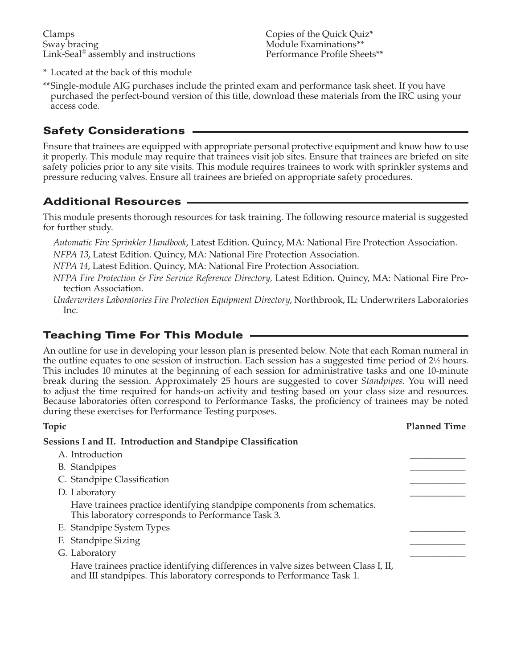Clamps Sway bracing Link-Seal® assembly and instructions Copies of the Quick Quiz\* Module Examinations\*\* Performance Profile Sheets\*\*

- \* Located at the back of this module
- \*\*Single-module AIG purchases include the printed exam and performance task sheet. If you have purchased the perfect-bound version of this title, download these materials from the IRC using your access code.

## Safety Considerations

Ensure that trainees are equipped with appropriate personal protective equipment and know how to use it properly. This module may require that trainees visit job sites. Ensure that trainees are briefed on site safety policies prior to any site visits. This module requires trainees to work with sprinkler systems and pressure reducing valves. Ensure all trainees are briefed on appropriate safety procedures.

## Additional Resources

This module presents thorough resources for task training. The following resource material is suggested for further study.

- *Automatic Fire Sprinkler Handbook*, Latest Edition. Quincy, MA: National Fire Protection Association.
- *NFPA 13*, Latest Edition. Quincy, MA: National Fire Protection Association.
- *NFPA 14*, Latest Edition. Quincy, MA: National Fire Protection Association.
- *NFPA Fire Protection & Fire Service Reference Directory,* Latest Edition. Quincy, MA: National Fire Protection Association.
- *Underwriters Laboratories Fire Protection Equipment Directory*, Northbrook, IL: Underwriters Laboratories Inc.

## Teaching Time For This Module

An outline for use in developing your lesson plan is presented below. Note that each Roman numeral in the outline equates to one session of instruction. Each session has a suggested time period of  $2\frac{1}{2}$  hours. This includes 10 minutes at the beginning of each session for administrative tasks and one 10-minute break during the session. Approximately 25 hours are suggested to cover *Standpipes*. You will need to adjust the time required for hands-on activity and testing based on your class size and resources. Because laboratories often correspond to Performance Tasks, the proficiency of trainees may be noted during these exercises for Performance Testing purposes.

| Topic                                                                                                                                                        | <b>Planned Time</b> |
|--------------------------------------------------------------------------------------------------------------------------------------------------------------|---------------------|
| Sessions I and II. Introduction and Standpipe Classification                                                                                                 |                     |
| A. Introduction                                                                                                                                              |                     |
| B. Standpipes                                                                                                                                                |                     |
| C. Standpipe Classification                                                                                                                                  |                     |
| D. Laboratory                                                                                                                                                |                     |
| Have trainees practice identifying standpipe components from schematics.<br>This laboratory corresponds to Performance Task 3.                               |                     |
| E. Standpipe System Types                                                                                                                                    |                     |
| F. Standpipe Sizing                                                                                                                                          |                     |
| G. Laboratory                                                                                                                                                |                     |
| Have trainees practice identifying differences in valve sizes between Class I, II,<br>and III standpipes. This laboratory corresponds to Performance Task 1. |                     |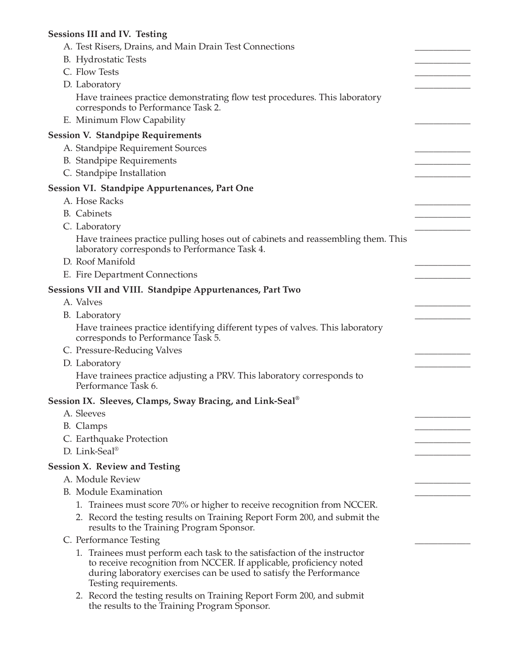# **Sessions III and IV. Testing**

| A. Test Risers, Drains, and Main Drain Test Connections                                                                                                                                                                                        |  |
|------------------------------------------------------------------------------------------------------------------------------------------------------------------------------------------------------------------------------------------------|--|
| <b>B.</b> Hydrostatic Tests                                                                                                                                                                                                                    |  |
| C. Flow Tests                                                                                                                                                                                                                                  |  |
| D. Laboratory                                                                                                                                                                                                                                  |  |
| Have trainees practice demonstrating flow test procedures. This laboratory<br>corresponds to Performance Task 2.                                                                                                                               |  |
| E. Minimum Flow Capability                                                                                                                                                                                                                     |  |
| <b>Session V. Standpipe Requirements</b>                                                                                                                                                                                                       |  |
| A. Standpipe Requirement Sources                                                                                                                                                                                                               |  |
| <b>B.</b> Standpipe Requirements                                                                                                                                                                                                               |  |
| C. Standpipe Installation                                                                                                                                                                                                                      |  |
| <b>Session VI. Standpipe Appurtenances, Part One</b>                                                                                                                                                                                           |  |
| A. Hose Racks                                                                                                                                                                                                                                  |  |
| <b>B.</b> Cabinets                                                                                                                                                                                                                             |  |
| C. Laboratory                                                                                                                                                                                                                                  |  |
| Have trainees practice pulling hoses out of cabinets and reassembling them. This<br>laboratory corresponds to Performance Task 4.                                                                                                              |  |
| D. Roof Manifold                                                                                                                                                                                                                               |  |
| E. Fire Department Connections                                                                                                                                                                                                                 |  |
| <b>Sessions VII and VIII. Standpipe Appurtenances, Part Two</b>                                                                                                                                                                                |  |
| A. Valves                                                                                                                                                                                                                                      |  |
| B. Laboratory                                                                                                                                                                                                                                  |  |
| Have trainees practice identifying different types of valves. This laboratory<br>corresponds to Performance Task 5.                                                                                                                            |  |
| C. Pressure-Reducing Valves                                                                                                                                                                                                                    |  |
| D. Laboratory                                                                                                                                                                                                                                  |  |
| Have trainees practice adjusting a PRV. This laboratory corresponds to<br>Performance Task 6.                                                                                                                                                  |  |
| Session IX.  Sleeves, Clamps, Sway Bracing, and Link-Seal® $\,$                                                                                                                                                                                |  |
| A. Sleeves                                                                                                                                                                                                                                     |  |
| B. Clamps                                                                                                                                                                                                                                      |  |
| C. Earthquake Protection                                                                                                                                                                                                                       |  |
| D. Link-Seal®                                                                                                                                                                                                                                  |  |
| <b>Session X. Review and Testing</b>                                                                                                                                                                                                           |  |
| A. Module Review                                                                                                                                                                                                                               |  |
| <b>B.</b> Module Examination                                                                                                                                                                                                                   |  |
| 1. Trainees must score 70% or higher to receive recognition from NCCER.                                                                                                                                                                        |  |
| 2. Record the testing results on Training Report Form 200, and submit the<br>results to the Training Program Sponsor.                                                                                                                          |  |
| C. Performance Testing                                                                                                                                                                                                                         |  |
| 1. Trainees must perform each task to the satisfaction of the instructor<br>to receive recognition from NCCER. If applicable, proficiency noted<br>during laboratory exercises can be used to satisfy the Performance<br>Testing requirements. |  |
| 2. Record the testing results on Training Report Form 200, and submit<br>the results to the Training Program Sponsor.                                                                                                                          |  |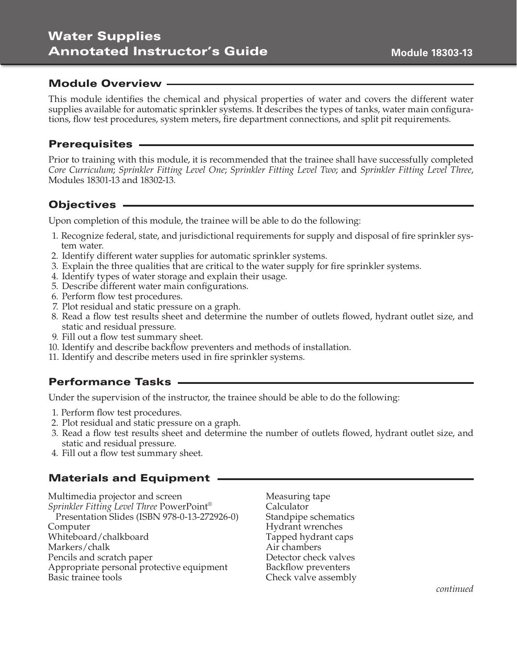# Water Supplies Annotated Instructor's Guide

### Module Overview

This module identifies the chemical and physical properties of water and covers the different water supplies available for automatic sprinkler systems. It describes the types of tanks, water main configurations, flow test procedures, system meters, fire department connections, and split pit requirements.

#### Prerequisites

Prior to training with this module, it is recommended that the trainee shall have successfully completed *Core Curriculum*; *Sprinkler Fitting Level One*; *Sprinkler Fitting Level Two*; and *Sprinkler Fitting Level Three*, Modules 18301-13 and 18302-13.

### Objectives

Upon completion of this module, the trainee will be able to do the following:

- 1. Recognize federal, state, and jurisdictional requirements for supply and disposal of fire sprinkler system water.
- 2. Identify different water supplies for automatic sprinkler systems.
- 3. Explain the three qualities that are critical to the water supply for fire sprinkler systems.
- 4. Identify types of water storage and explain their usage.
- 5. Describe different water main configurations.
- 6. Perform flow test procedures.
- 7. Plot residual and static pressure on a graph.
- 8. Read a flow test results sheet and determine the number of outlets flowed, hydrant outlet size, and static and residual pressure.
- 9. Fill out a flow test summary sheet.
- 10. Identify and describe backflow preventers and methods of installation.
- 11. Identify and describe meters used in fire sprinkler systems.

### Performance Tasks

Under the supervision of the instructor, the trainee should be able to do the following:

- 1. Perform flow test procedures.
- 2. Plot residual and static pressure on a graph.
- 3. Read a flow test results sheet and determine the number of outlets flowed, hydrant outlet size, and static and residual pressure.
- 4. Fill out a flow test summary sheet.

### Materials and Equipment .

Multimedia projector and screen *Sprinkler Fitting Level Three* PowerPoint® Presentation Slides (ISBN 978-0-13-272926-0) Computer Whiteboard/chalkboard Markers/chalk Pencils and scratch paper Appropriate personal protective equipment Basic trainee tools

Measuring tape Calculator Standpipe schematics Hydrant wrenches Tapped hydrant caps Air chambers Detector check valves Backflow preventers Check valve assembly **Module 18303-13**

*continued*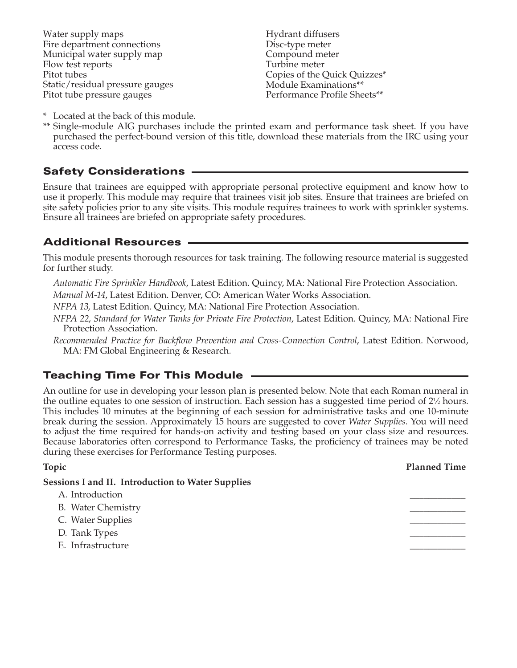Water supply maps Fire department connections Municipal water supply map Flow test reports Pitot tubes Static/residual pressure gauges Pitot tube pressure gauges

Hydrant diffusers Disc-type meter Compound meter Turbine meter Copies of the Quick Quizzes\* Module Examinations\*\* Performance Profile Sheets\*\*

- \* Located at the back of this module.
- \*\* Single-module AIG purchases include the printed exam and performance task sheet. If you have purchased the perfect-bound version of this title, download these materials from the IRC using your access code.

## Safety Considerations

Ensure that trainees are equipped with appropriate personal protective equipment and know how to use it properly. This module may require that trainees visit job sites. Ensure that trainees are briefed on site safety policies prior to any site visits. This module requires trainees to work with sprinkler systems. Ensure all trainees are briefed on appropriate safety procedures.

## Additional Resources

This module presents thorough resources for task training. The following resource material is suggested for further study.

*Automatic Fire Sprinkler Handbook*, Latest Edition. Quincy, MA: National Fire Protection Association.

*Manual M-14*, Latest Edition. Denver, CO: American Water Works Association.

*NFPA 13*, Latest Edition. Quincy, MA: National Fire Protection Association.

*NFPA 22*, *Standard for Water Tanks for Private Fire Protection*, Latest Edition. Quincy, MA: National Fire Protection Association.

*Recommended Practice for Backflow Prevention and Cross-Connection Control*, Latest Edition. Norwood, MA: FM Global Engineering & Research.

## Teaching Time For This Module

An outline for use in developing your lesson plan is presented below. Note that each Roman numeral in the outline equates to one session of instruction. Each session has a suggested time period of  $2\frac{1}{2}$  hours. This includes 10 minutes at the beginning of each session for administrative tasks and one 10-minute break during the session. Approximately 15 hours are suggested to cover *Water Supplies*. You will need to adjust the time required for hands-on activity and testing based on your class size and resources. Because laboratories often correspond to Performance Tasks, the proficiency of trainees may be noted during these exercises for Performance Testing purposes.

| Topic                                                    | <b>Planned Time</b> |
|----------------------------------------------------------|---------------------|
| <b>Sessions I and II. Introduction to Water Supplies</b> |                     |
| A. Introduction                                          |                     |
| <b>B.</b> Water Chemistry                                |                     |
| C. Water Supplies                                        |                     |
| D. Tank Types                                            |                     |
| E. Infrastructure                                        |                     |
|                                                          |                     |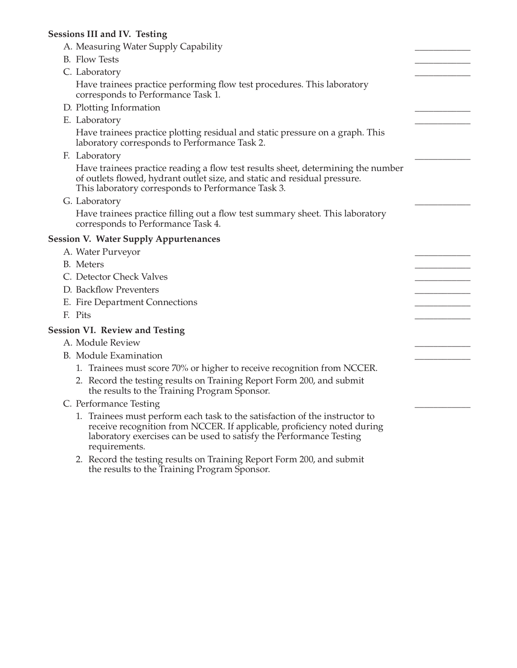### **Sessions III and IV. Testing**

| A. Measuring Water Supply Capability                                                                                                                                                                                                           |  |
|------------------------------------------------------------------------------------------------------------------------------------------------------------------------------------------------------------------------------------------------|--|
| <b>B.</b> Flow Tests                                                                                                                                                                                                                           |  |
| C. Laboratory                                                                                                                                                                                                                                  |  |
| Have trainees practice performing flow test procedures. This laboratory<br>corresponds to Performance Task 1.                                                                                                                                  |  |
| D. Plotting Information                                                                                                                                                                                                                        |  |
| E. Laboratory                                                                                                                                                                                                                                  |  |
| Have trainees practice plotting residual and static pressure on a graph. This<br>laboratory corresponds to Performance Task 2.                                                                                                                 |  |
| F. Laboratory                                                                                                                                                                                                                                  |  |
| Have trainees practice reading a flow test results sheet, determining the number<br>of outlets flowed, hydrant outlet size, and static and residual pressure.<br>This laboratory corresponds to Performance Task 3.                            |  |
| G. Laboratory                                                                                                                                                                                                                                  |  |
| Have trainees practice filling out a flow test summary sheet. This laboratory<br>corresponds to Performance Task 4.                                                                                                                            |  |
| <b>Session V. Water Supply Appurtenances</b>                                                                                                                                                                                                   |  |
| A. Water Purveyor                                                                                                                                                                                                                              |  |
| <b>B.</b> Meters                                                                                                                                                                                                                               |  |
| C. Detector Check Valves                                                                                                                                                                                                                       |  |
| D. Backflow Preventers                                                                                                                                                                                                                         |  |
| E. Fire Department Connections                                                                                                                                                                                                                 |  |
| F. Pits                                                                                                                                                                                                                                        |  |
| <b>Session VI. Review and Testing</b>                                                                                                                                                                                                          |  |
| A. Module Review                                                                                                                                                                                                                               |  |
| <b>B.</b> Module Examination                                                                                                                                                                                                                   |  |
| 1. Trainees must score 70% or higher to receive recognition from NCCER.                                                                                                                                                                        |  |
| 2. Record the testing results on Training Report Form 200, and submit<br>the results to the Training Program Sponsor.                                                                                                                          |  |
| C. Performance Testing                                                                                                                                                                                                                         |  |
| 1. Trainees must perform each task to the satisfaction of the instructor to<br>receive recognition from NCCER. If applicable, proficiency noted during<br>laboratory exercises can be used to satisfy the Performance Testing<br>requirements. |  |

 2. Record the testing results on Training Report Form 200, and submit the results to the Training Program Sponsor.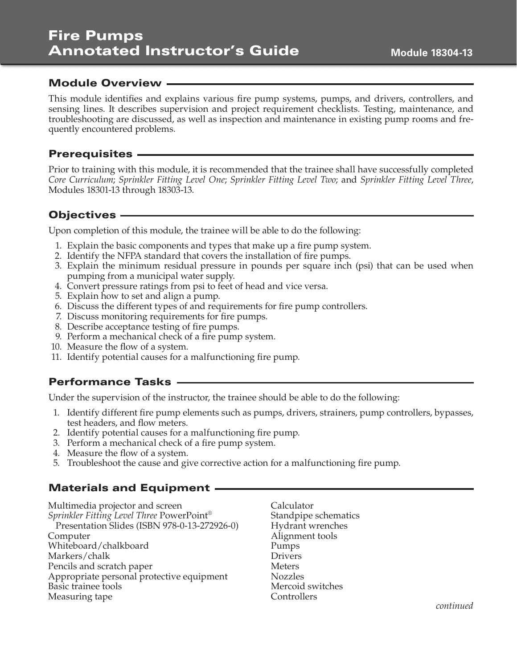### Module Overview ·

This module identifies and explains various fire pump systems, pumps, and drivers, controllers, and sensing lines. It describes supervision and project requirement checklists. Testing, maintenance, and troubleshooting are discussed, as well as inspection and maintenance in existing pump rooms and frequently encountered problems.

#### **Prerequisites -**

Prior to training with this module, it is recommended that the trainee shall have successfully completed *Core Curriculum*; *Sprinkler Fitting Level One*; *Sprinkler Fitting Level Two*; and *Sprinkler Fitting Level Three*, Modules 18301-13 through 18303-13.

### Objectives

Upon completion of this module, the trainee will be able to do the following:

- 1. Explain the basic components and types that make up a fire pump system.
- 2. Identify the NFPA standard that covers the installation of fire pumps.
- 3. Explain the minimum residual pressure in pounds per square inch (psi) that can be used when pumping from a municipal water supply.
- 4. Convert pressure ratings from psi to feet of head and vice versa.
- 5. Explain how to set and align a pump.
- 6. Discuss the different types of and requirements for fire pump controllers.
- 7. Discuss monitoring requirements for fire pumps.
- 8. Describe acceptance testing of fire pumps.
- 9. Perform a mechanical check of a fire pump system.
- 10. Measure the flow of a system.
- 11. Identify potential causes for a malfunctioning fire pump.

## Performance Tasks

Under the supervision of the instructor, the trainee should be able to do the following:

- 1. Identify different fire pump elements such as pumps, drivers, strainers, pump controllers, bypasses, test headers, and flow meters.
- 2. Identify potential causes for a malfunctioning fire pump.
- 3. Perform a mechanical check of a fire pump system.
- 4. Measure the flow of a system.
- 5. Troubleshoot the cause and give corrective action for a malfunctioning fire pump.

### Materials and Equipment

Multimedia projector and screen *Sprinkler Fitting Level Three* PowerPoint® Presentation Slides (ISBN 978-0-13-272926-0) Computer Whiteboard/chalkboard Markers/chalk Pencils and scratch paper Appropriate personal protective equipment Basic trainee tools Measuring tape

Calculator Standpipe schematics Hydrant wrenches Alignment tools Pumps Drivers Meters Nozzles Mercoid switches **Controllers** 

*continued*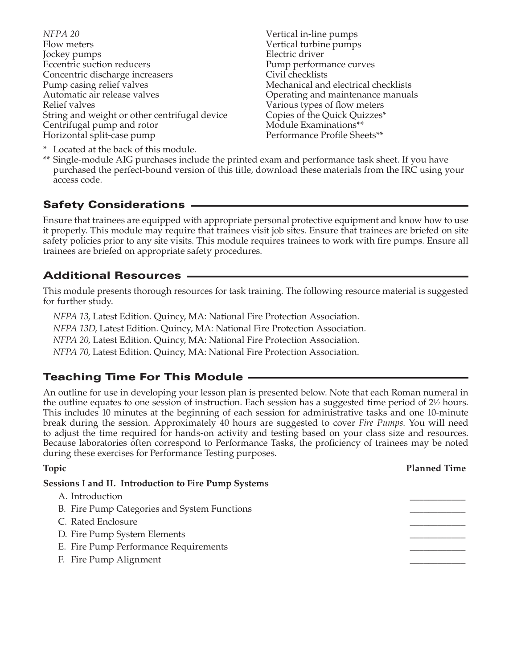*NFPA 20*  Flow meters Jockey pumps Eccentric suction reducers Concentric discharge increasers Pump casing relief valves Automatic air release valves Relief valves String and weight or other centrifugal device Centrifugal pump and rotor Horizontal split-case pump

Vertical in-line pumps Vertical turbine pumps Electric driver Pump performance curves Civil checklists Mechanical and electrical checklists Operating and maintenance manuals Various types of flow meters Copies of the Quick Quizzes\* Module Examinations\*\* Performance Profile Sheets\*\*

\* Located at the back of this module.

\*\* Single-module AIG purchases include the printed exam and performance task sheet. If you have purchased the perfect-bound version of this title, download these materials from the IRC using your access code.

## Safety Considerations

Ensure that trainees are equipped with appropriate personal protective equipment and know how to use it properly. This module may require that trainees visit job sites. Ensure that trainees are briefed on site safety policies prior to any site visits. This module requires trainees to work with fire pumps. Ensure all trainees are briefed on appropriate safety procedures.

## Additional Resources

This module presents thorough resources for task training. The following resource material is suggested for further study.

*NFPA 13*, Latest Edition. Quincy, MA: National Fire Protection Association. *NFPA 13D*, Latest Edition. Quincy, MA: National Fire Protection Association. *NFPA 20*, Latest Edition. Quincy, MA: National Fire Protection Association. *NFPA 70*, Latest Edition. Quincy, MA: National Fire Protection Association.

## Teaching Time For This Module

An outline for use in developing your lesson plan is presented below. Note that each Roman numeral in the outline equates to one session of instruction. Each session has a suggested time period of 2<sup>1</sup>/<sub>2</sub> hours. This includes 10 minutes at the beginning of each session for administrative tasks and one 10-minute break during the session. Approximately 40 hours are suggested to cover *Fire Pumps*. You will need to adjust the time required for hands-on activity and testing based on your class size and resources. Because laboratories often correspond to Performance Tasks, the proficiency of trainees may be noted during these exercises for Performance Testing purposes.

| Topic                                                       | <b>Planned Time</b> |
|-------------------------------------------------------------|---------------------|
| <b>Sessions I and II. Introduction to Fire Pump Systems</b> |                     |
| A. Introduction                                             |                     |
| B. Fire Pump Categories and System Functions                |                     |
| C. Rated Enclosure                                          |                     |
| D. Fire Pump System Elements                                |                     |
| E. Fire Pump Performance Requirements                       |                     |
| F. Fire Pump Alignment                                      |                     |
|                                                             |                     |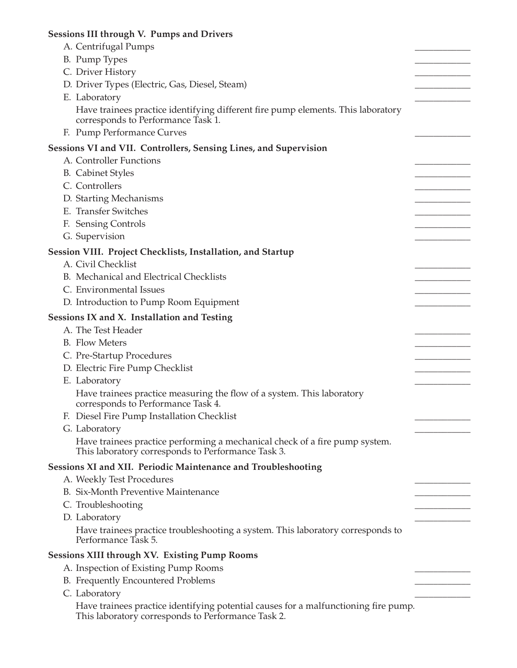## **Sessions III through V. Pumps and Drivers** A. Centrifugal Pumps B. Pump Types C. Driver History D. Driver Types (Electric, Gas, Diesel, Steam) E. Laboratory Have trainees practice identifying different fire pump elements. This laboratory corresponds to Performance Task 1. F. Pump Performance Curves **Sessions VI and VII. Controllers, Sensing Lines, and Supervision**  A. Controller Functions B. Cabinet Styles C. Controllers D. Starting Mechanisms E. Transfer Switches F. Sensing Controls G. Supervision **Session VIII. Project Checklists, Installation, and Startup**  A. Civil Checklist B. Mechanical and Electrical Checklists C. Environmental Issues D. Introduction to Pump Room Equipment **Sessions IX and X. Installation and Testing** A. The Test Header B. Flow Meters C. Pre-Startup Procedures D. Electric Fire Pump Checklist E. Laboratory Have trainees practice measuring the flow of a system. This laboratory corresponds to Performance Task 4. F. Diesel Fire Pump Installation Checklist G. Laboratory Have trainees practice performing a mechanical check of a fire pump system. This laboratory corresponds to Performance Task 3. **Sessions XI and XII. Periodic Maintenance and Troubleshooting**  A. Weekly Test Procedures B. Six-Month Preventive Maintenance C. Troubleshooting D. Laboratory Have trainees practice troubleshooting a system. This laboratory corresponds to Performance Task 5. **Sessions XIII through XV. Existing Pump Rooms**  A. Inspection of Existing Pump Rooms B. Frequently Encountered Problems C. Laboratory Have trainees practice identifying potential causes for a malfunctioning fire pump.

This laboratory corresponds to Performance Task 2.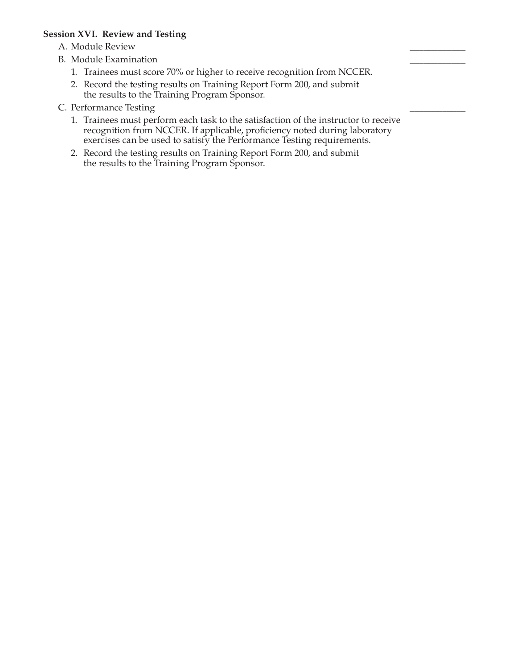#### **Session XVI. Review and Testing**

A. Module Review

- B. Module Examination
	- 1. Trainees must score 70% or higher to receive recognition from NCCER.
	- 2. Record the testing results on Training Report Form 200, and submit the results to the Training Program Sponsor.
- C. Performance Testing
	- 1. Trainees must perform each task to the satisfaction of the instructor to receive recognition from NCCER. If applicable, proficiency noted during laboratory exercises can be used to satisfy the Performance Testing requirements.
	- 2. Record the testing results on Training Report Form 200, and submit the results to the Training Program Sponsor.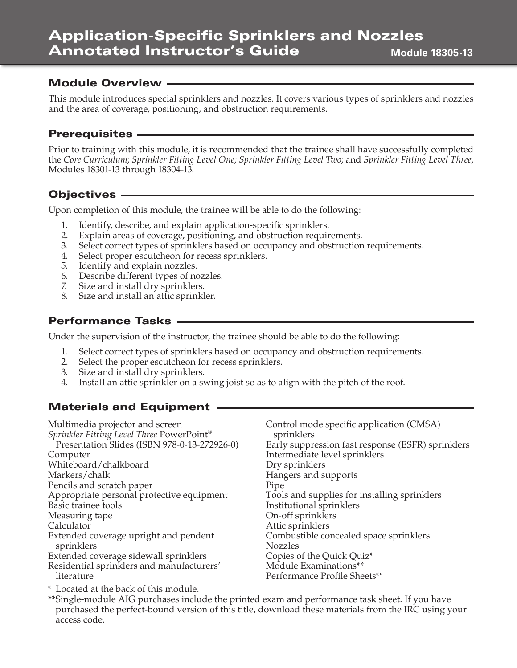#### Application-Specific Sprinklers and Nozzles Annotated Instructor's Guide **Module 18305-13**

## Module Overview

This module introduces special sprinklers and nozzles. It covers various types of sprinklers and nozzles and the area of coverage, positioning, and obstruction requirements.

## Prerequisites

Prior to training with this module, it is recommended that the trainee shall have successfully completed the *Core Curriculum*; *Sprinkler Fitting Level One; Sprinkler Fitting Level Two*; and *Sprinkler Fitting Level Three*, Modules 18301-13 through 18304-13.

## Objectives

Upon completion of this module, the trainee will be able to do the following:

- 1. Identify, describe, and explain application-specific sprinklers.
- 2. Explain areas of coverage, positioning, and obstruction requirements.
- 3. Select correct types of sprinklers based on occupancy and obstruction requirements.
- 4. Select proper escutcheon for recess sprinklers.
- 5. Identify and explain nozzles.
- 6. Describe different types of nozzles.
- 7. Size and install dry sprinklers.
- 8. Size and install an attic sprinkler.

## Performance Tasks

Under the supervision of the instructor, the trainee should be able to do the following:

- 1. Select correct types of sprinklers based on occupancy and obstruction requirements.
- 2. Select the proper escutcheon for recess sprinklers.
- 3. Size and install dry sprinklers.
- 4. Install an attic sprinkler on a swing joist so as to align with the pitch of the roof.

# Materials and Equipment

| Multimedia projector and screen              | Control mode specific application (CMSA)          |
|----------------------------------------------|---------------------------------------------------|
| Sprinkler Fitting Level Three PowerPoint®    | sprinklers                                        |
| Presentation Slides (ISBN 978-0-13-272926-0) | Early suppression fast response (ESFR) sprinklers |
| Computer                                     | Intermediate level sprinklers                     |
| Whiteboard/chalkboard                        | Dry sprinklers                                    |
| Markers/chalk                                | Hangers and supports                              |
| Pencils and scratch paper                    | Pipe                                              |
| Appropriate personal protective equipment    | Tools and supplies for installing sprinklers      |
| Basic trainee tools                          | Institutional sprinklers                          |
| Measuring tape                               | On-off sprinklers                                 |
| Calculator                                   | Attic sprinklers                                  |
| Extended coverage upright and pendent        | Combustible concealed space sprinklers            |
| sprinklers                                   | <b>Nozzles</b>                                    |
| Extended coverage sidewall sprinklers        | Copies of the Quick Quiz*                         |
| Residential sprinklers and manufacturers'    | Module Examinations**                             |
| literature                                   | Performance Profile Sheets**                      |
|                                              |                                                   |

\* Located at the back of this module.

\*\*Single-module AIG purchases include the printed exam and performance task sheet. If you have purchased the perfect-bound version of this title, download these materials from the IRC using your access code.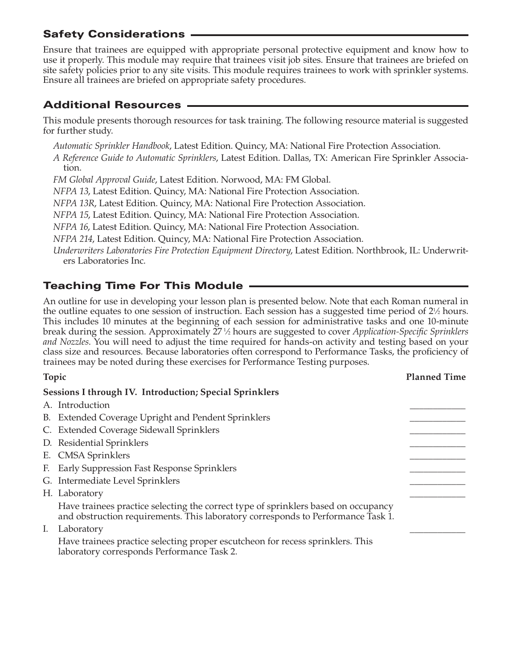## Safety Considerations

Ensure that trainees are equipped with appropriate personal protective equipment and know how to use it properly. This module may require that trainees visit job sites. Ensure that trainees are briefed on site safety policies prior to any site visits. This module requires trainees to work with sprinkler systems. Ensure all trainees are briefed on appropriate safety procedures.

## Additional Resources

This module presents thorough resources for task training. The following resource material is suggested for further study.

*Automatic Sprinkler Handbook*, Latest Edition. Quincy, MA: National Fire Protection Association.

*A Reference Guide to Automatic Sprinklers*, Latest Edition. Dallas, TX: American Fire Sprinkler Association.

*FM Global Approval Guide*, Latest Edition. Norwood, MA: FM Global.

*NFPA 13*, Latest Edition. Quincy, MA: National Fire Protection Association.

*NFPA 13R*, Latest Edition. Quincy, MA: National Fire Protection Association.

*NFPA 15*, Latest Edition. Quincy, MA: National Fire Protection Association.

*NFPA 16*, Latest Edition. Quincy, MA: National Fire Protection Association.

*NFPA 214*, Latest Edition. Quincy, MA: National Fire Protection Association.

*Underwriters Laboratories Fire Protection Equipment Directory*, Latest Edition. Northbrook, IL: Underwriters Laboratories Inc.

# Teaching Time For This Module

An outline for use in developing your lesson plan is presented below. Note that each Roman numeral in the outline equates to one session of instruction. Each session has a suggested time period of  $2\frac{1}{2}$  hours. This includes 10 minutes at the beginning of each session for administrative tasks and one 10-minute break during the session. Approximately 27<sup>1</sup>/<sub>2</sub> hours are suggested to cover *Application-Specific Sprinklers and Nozzles*. You will need to adjust the time required for hands-on activity and testing based on your class size and resources. Because laboratories often correspond to Performance Tasks, the proficiency of trainees may be noted during these exercises for Performance Testing purposes.

| Topic | <b>Planned Time</b>                                                                                                                                                    |  |
|-------|------------------------------------------------------------------------------------------------------------------------------------------------------------------------|--|
|       | Sessions I through IV. Introduction; Special Sprinklers                                                                                                                |  |
|       | A. Introduction                                                                                                                                                        |  |
|       | B. Extended Coverage Upright and Pendent Sprinklers                                                                                                                    |  |
|       | C. Extended Coverage Sidewall Sprinklers                                                                                                                               |  |
|       | D. Residential Sprinklers                                                                                                                                              |  |
|       | E. CMSA Sprinklers                                                                                                                                                     |  |
|       | F. Early Suppression Fast Response Sprinklers                                                                                                                          |  |
|       | G. Intermediate Level Sprinklers                                                                                                                                       |  |
|       | H. Laboratory                                                                                                                                                          |  |
|       | Have trainees practice selecting the correct type of sprinklers based on occupancy<br>and obstruction requirements. This laboratory corresponds to Performance Task 1. |  |
|       | I. Laboratory                                                                                                                                                          |  |
|       | Have trainees practice selecting proper escutcheon for recess sprinklers. This<br>laboratory corresponds Performance Task 2.                                           |  |